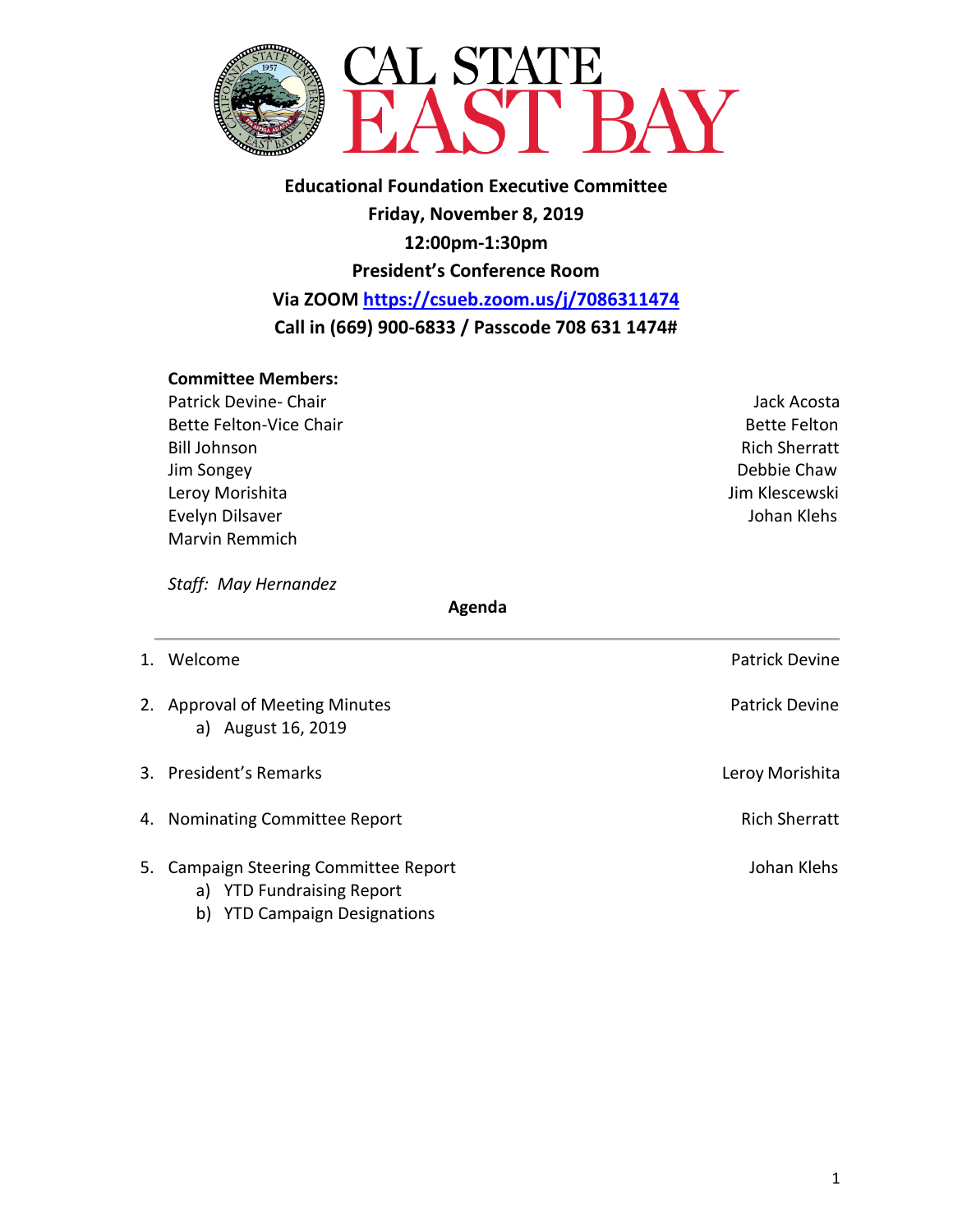

**Educational Foundation Executive Committee Friday, November 8, 2019 12:00pm-1:30pm President's Conference Room Via ZOOM <https://csueb.zoom.us/j/7086311474> Call in (669) 900-6833 / Passcode 708 631 1474#**

### **Committee Members:**

- Patrick Devine- Chair **Jack Acosta Jack Acosta Jack Acosta Jack Acosta** Bette Felton-Vice Chair **Bette Felton** Bette Felton Bill Johnson Rich Sherratt Jim Songey Debbie Chaw Leroy Morishita **Jim Klescewski** Evelyn Dilsaver **Volume 2008** and the United States of the United States of the United States of the United States of the United States of the United States of the United States of the United States of the United States of Marvin Remmich
	-

*Staff: May Hernandez* 

#### **Agenda**

- 1. Welcome **Patrick Devine** 2. Approval of Meeting Minutes **Patrick Devine** Patrick Devine a) August 16, 2019 3. President's Remarks **Letter Communist Communist Communist Communist Communist Communist Communist Communist Communist Communist Communist Communist Communist Communist Communist Communist Communist Communist Communist C** 4. Nominating Committee Report **Rich Sherratt** Rich Sherratt 5. Campaign Steering Committee Report **Community** Johan Klehs a) YTD Fundraising Report
	- b) YTD Campaign Designations